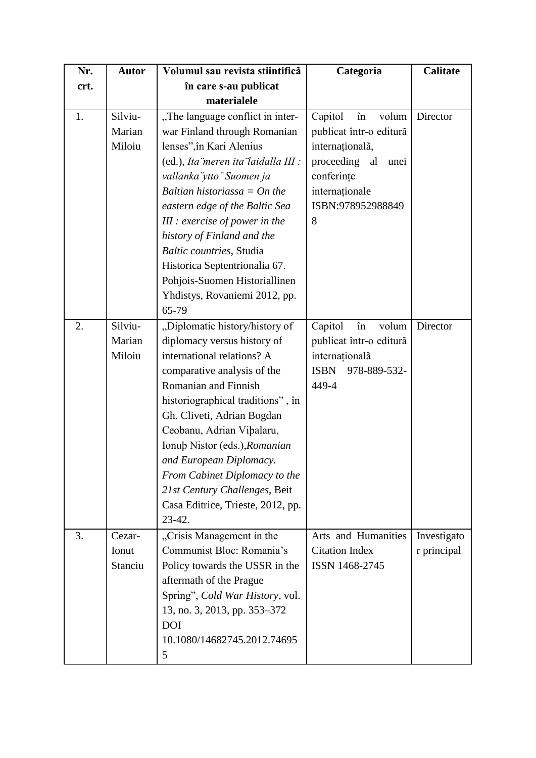| Nr.  | <b>Autor</b>                | Volumul sau revista stiintificã                                                                                                                                                                                                                                                                                                                                                                                                               | Categoria                                                                                                                                                  | <b>Calitate</b>            |
|------|-----------------------------|-----------------------------------------------------------------------------------------------------------------------------------------------------------------------------------------------------------------------------------------------------------------------------------------------------------------------------------------------------------------------------------------------------------------------------------------------|------------------------------------------------------------------------------------------------------------------------------------------------------------|----------------------------|
| crt. |                             | în care s-au publicat                                                                                                                                                                                                                                                                                                                                                                                                                         |                                                                                                                                                            |                            |
|      |                             | materialele                                                                                                                                                                                                                                                                                                                                                                                                                                   |                                                                                                                                                            |                            |
| 1.   | Silviu-<br>Marian<br>Miloiu | "The language conflict in inter-<br>war Finland through Romanian<br>lenses", în Kari Alenius<br>(ed.), Ita meren ita laidalla III :<br>vallanka ytto "Suomen ja<br>Baltian historiassa $=$ On the<br>eastern edge of the Baltic Sea<br>$III$ : exercise of power in the<br>history of Finland and the<br>Baltic countries, Studia<br>Historica Septentrionalia 67.<br>Pohjois-Suomen Historiallinen<br>Yhdistys, Rovaniemi 2012, pp.<br>65-79 | Capitol<br>în<br>volum<br>publicat într-o editură<br>internaționalã,<br>proceeding<br>al<br>unei<br>conferințe<br>internaționale<br>ISBN:978952988849<br>8 | Director                   |
| 2.   | Silviu-<br>Marian<br>Miloiu | "Diplomatic history/history of<br>diplomacy versus history of<br>international relations? A<br>comparative analysis of the<br>Romanian and Finnish<br>historiographical traditions", în<br>Gh. Cliveti, Adrian Bogdan<br>Ceobanu, Adrian Vibalaru,<br>Ionub Nistor (eds.), Romanian<br>and European Diplomacy.<br>From Cabinet Diplomacy to the<br>21st Century Challenges, Beit<br>Casa Editrice, Trieste, 2012, pp.<br>$23-42.$             | Capitol<br>volum<br>în<br>publicat într-o editură<br>internaționalã<br><b>ISBN</b><br>978-889-532-<br>449-4                                                | Director                   |
| 3.   | Cezar-<br>Ionut<br>Stanciu  | "Crisis Management in the<br>Communist Bloc: Romania's<br>Policy towards the USSR in the<br>aftermath of the Prague<br>Spring", Cold War History, vol.<br>13, no. 3, 2013, pp. 353–372<br><b>DOI</b><br>10.1080/14682745.2012.74695<br>5                                                                                                                                                                                                      | Arts and Humanities<br><b>Citation Index</b><br>ISSN 1468-2745                                                                                             | Investigato<br>r principal |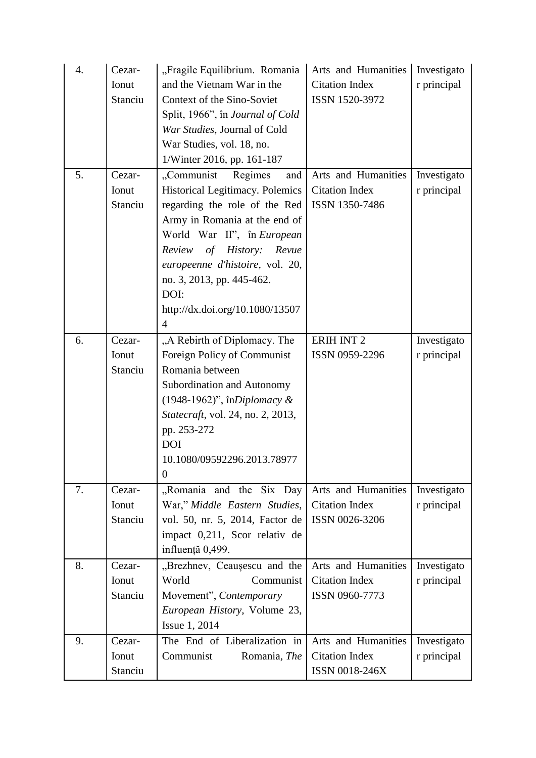| $\overline{4}$ . | Cezar-  | "Fragile Equilibrium. Romania            | Arts and Humanities   | Investigato |
|------------------|---------|------------------------------------------|-----------------------|-------------|
|                  | Ionut   | and the Vietnam War in the               | <b>Citation Index</b> | r principal |
|                  | Stanciu | Context of the Sino-Soviet               | ISSN 1520-3972        |             |
|                  |         | Split, 1966", în Journal of Cold         |                       |             |
|                  |         | War Studies, Journal of Cold             |                       |             |
|                  |         | War Studies, vol. 18, no.                |                       |             |
|                  |         | 1/Winter 2016, pp. 161-187               |                       |             |
| 5.               | Cezar-  | "Communist<br>Regimes<br>and             | Arts and Humanities   | Investigato |
|                  | Ionut   | Historical Legitimacy. Polemics          | <b>Citation Index</b> | r principal |
|                  | Stanciu | regarding the role of the Red            | ISSN 1350-7486        |             |
|                  |         | Army in Romania at the end of            |                       |             |
|                  |         | World War II", în European               |                       |             |
|                  |         | Review of<br><i>History:</i><br>Revue    |                       |             |
|                  |         | europeenne d'histoire, vol. 20,          |                       |             |
|                  |         | no. 3, 2013, pp. 445-462.                |                       |             |
|                  |         | DOI:                                     |                       |             |
|                  |         | http://dx.doi.org/10.1080/13507          |                       |             |
|                  |         | $\overline{4}$                           |                       |             |
| 6.               | Cezar-  | "A Rebirth of Diplomacy. The             | <b>ERIH INT 2</b>     | Investigato |
|                  | Ionut   | Foreign Policy of Communist              | ISSN 0959-2296        | r principal |
|                  | Stanciu | Romania between                          |                       |             |
|                  |         | Subordination and Autonomy               |                       |             |
|                  |         | $(1948-1962)$ ", înDiplomacy &           |                       |             |
|                  |         | <i>Statecraft, vol. 24, no. 2, 2013,</i> |                       |             |
|                  |         | pp. 253-272                              |                       |             |
|                  |         | <b>DOI</b>                               |                       |             |
|                  |         | 10.1080/09592296.2013.78977              |                       |             |
|                  |         | $\theta$                                 |                       |             |
| 7.               | Cezar-  | "Romania and the Six Day                 | Arts and Humanities   | Investigato |
|                  | Ionut   | War," Middle Eastern Studies,            | <b>Citation Index</b> | r principal |
|                  | Stanciu | vol. 50, nr. 5, 2014, Factor de          | ISSN 0026-3206        |             |
|                  |         | impact 0,211, Scor relativ de            |                       |             |
|                  |         | influență 0,499.                         |                       |             |
| 8.               | Cezar-  | "Brezhnev, Ceausescu and the             | Arts and Humanities   | Investigato |
|                  | Ionut   | World<br>Communist                       | <b>Citation Index</b> | r principal |
|                  | Stanciu | Movement", Contemporary                  | ISSN 0960-7773        |             |
|                  |         | European History, Volume 23,             |                       |             |
|                  |         | Issue 1, 2014                            |                       |             |
| 9.               | Cezar-  | The End of Liberalization in             | Arts and Humanities   | Investigato |
|                  | Ionut   | Communist<br>Romania, The                | <b>Citation Index</b> | r principal |
|                  | Stanciu |                                          | ISSN 0018-246X        |             |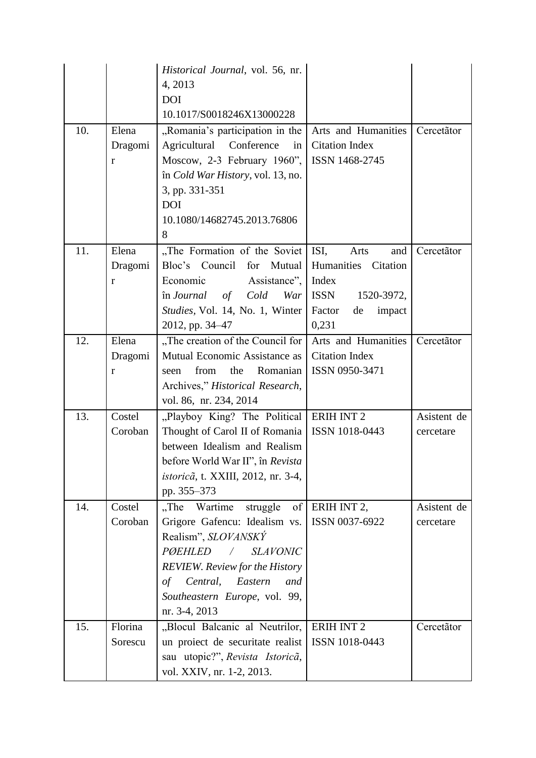|     |         | Historical Journal, vol. 56, nr.                              |                        |             |
|-----|---------|---------------------------------------------------------------|------------------------|-------------|
|     |         | 4, 2013                                                       |                        |             |
|     |         | <b>DOI</b>                                                    |                        |             |
|     |         | 10.1017/S0018246X13000228                                     |                        |             |
| 10. | Elena   | "Romania's participation in the                               | Arts and Humanities    | Cercetãtor  |
|     | Dragomi | Agricultural Conference<br>in                                 | <b>Citation Index</b>  |             |
|     | r       | Moscow, 2-3 February 1960",                                   | ISSN 1468-2745         |             |
|     |         | în Cold War History, vol. 13, no.                             |                        |             |
|     |         | 3, pp. 331-351                                                |                        |             |
|     |         | <b>DOI</b>                                                    |                        |             |
|     |         | 10.1080/14682745.2013.76806                                   |                        |             |
|     |         | 8                                                             |                        |             |
| 11. | Elena   | "The Formation of the Soviet                                  | ISI,<br>Arts<br>and    | Cercetãtor  |
|     | Dragomi | Bloc's Council for Mutual                                     | Humanities Citation    |             |
|     | r       | Economic<br>Assistance",                                      | Index                  |             |
|     |         | în Journal<br>of<br>Cold<br>War                               | ISSN<br>1520-3972,     |             |
|     |         | Studies, Vol. 14, No. 1, Winter                               | Factor<br>impact<br>de |             |
|     |         | 2012, pp. 34-47                                               | 0,231                  |             |
| 12. | Elena   | "The creation of the Council for                              | Arts and Humanities    | Cercetãtor  |
|     | Dragomi | Mutual Economic Assistance as                                 | <b>Citation Index</b>  |             |
|     | r       | Romanian<br>from<br>the<br>seen                               | ISSN 0950-3471         |             |
|     |         | Archives," Historical Research,                               |                        |             |
|     |         | vol. 86, nr. 234, 2014                                        |                        |             |
| 13. | Costel  | "Playboy King? The Political   ERIH INT 2                     |                        | Asistent de |
|     | Coroban | Thought of Carol II of Romania                                | ISSN 1018-0443         | cercetare   |
|     |         | between Idealism and Realism                                  |                        |             |
|     |         | before World War II", în Revista                              |                        |             |
|     |         | <i>istoricã</i> , t. XXIII, 2012, nr. 3-4,                    |                        |             |
|     |         | pp. 355-373                                                   |                        |             |
| 14. | Costel  | "The Wartime struggle<br>$\sigma$ f                           | ERIH INT 2,            | Asistent de |
|     | Coroban | Grigore Gafencu: Idealism vs.                                 | ISSN 0037-6922         | cercetare   |
|     |         | Realism", SLOVANSKÝ                                           |                        |             |
|     |         | <b>PØEHLED</b><br><b>SLAVONIC</b><br>$\overline{\phantom{a}}$ |                        |             |
|     |         | <b>REVIEW.</b> Review for the History                         |                        |             |
|     |         | Central, Eastern<br>$\sigma f$<br>and                         |                        |             |
|     |         | Southeastern Europe, vol. 99,                                 |                        |             |
|     |         | nr. 3-4, 2013                                                 |                        |             |
| 15. | Florina | "Blocul Balcanic al Neutrilor,                                | <b>ERIH INT 2</b>      | Cercetãtor  |
|     | Sorescu | un proiect de securitate realist                              | ISSN 1018-0443         |             |
|     |         | sau utopic?", Revista Istoricã,                               |                        |             |
|     |         | vol. XXIV, nr. 1-2, 2013.                                     |                        |             |